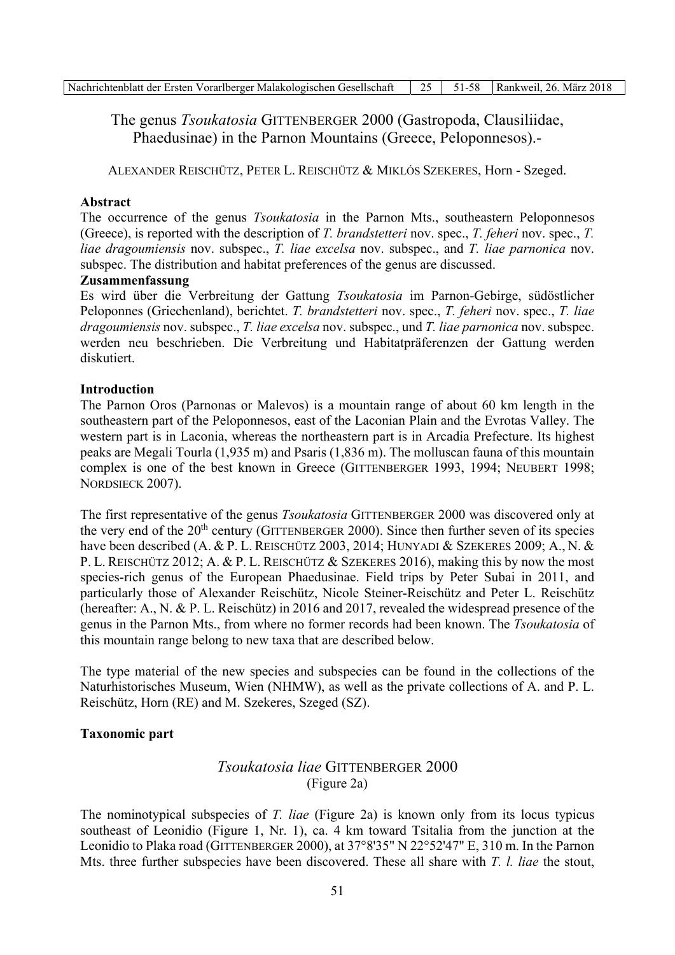| Nachrichtenblatt der Ersten Vorarlberger Malakologischen Gesellschaft   25   51-58   Rankweil, 26. März 2018 |  |  |
|--------------------------------------------------------------------------------------------------------------|--|--|

# The genus *Tsoukatosia* GITTENBERGER 2000 (Gastropoda, Clausiliidae, Phaedusinae) in the Parnon Mountains (Greece, Peloponnesos).-

ALEXANDER REISCHÜTZ, PETER L. REISCHÜTZ & MIKLÓS SZEKERES, Horn - Szeged.

### **Abstract**

The occurrence of the genus *Tsoukatosia* in the Parnon Mts., southeastern Peloponnesos (Greece), is reported with the description of T. brandstetteri nov. spec., T. feheri nov. spec., T. liae dragoumiensis nov. subspec., T. liae excelsa nov. subspec., and T. liae parnonica nov. subspec. The distribution and habitat preferences of the genus are discussed.

### Zusammenfassung

Es wird über die Verbreitung der Gattung Tsoukatosia im Parnon-Gebirge, südöstlicher Peloponnes (Griechenland), berichtet. T. brandstetteri nov. spec., T. feheri nov. spec., T. liae  $dragonmiensis$  nov. subspec.,  $T.$  liae excelsa nov. subspec., und  $T.$  liae parnonica nov. subspec. werden neu beschrieben. Die Verbreitung und Habitatpräferenzen der Gattung werden diskutiert

### **Introduction**

The Parnon Oros (Parnonas or Malevos) is a mountain range of about 60 km length in the southeastern part of the Peloponnesos, east of the Laconian Plain and the Evrotas Valley. The western part is in Laconia, whereas the northeastern part is in Arcadia Prefecture. Its highest peaks are Megali Tourla (1,935 m) and Psaris (1,836 m). The molluscan fauna of this mountain complex is one of the best known in Greece (GITTENBERGER 1993, 1994; NEUBERT 1998; NORDSIECK 2007).

The first representative of the genus *Tsoukatosia* GITTENBERGER 2000 was discovered only at the very end of the 20<sup>th</sup> century (GITTENBERGER 2000). Since then further seven of its species have been described (A. & P. L. REISCHÜTZ 2003, 2014; HUNYADI & SZEKERES 2009; A., N. & P. L. REISCHÜTZ 2012; A. & P. L. REISCHÜTZ & SZEKERES 2016), making this by now the most species-rich genus of the European Phaedusinae. Field trips by Peter Subai in 2011, and particularly those of Alexander Reischütz, Nicole Steiner-Reischütz and Peter L. Reischütz (hereafter: A., N. & P. L. Reischütz) in 2016 and 2017, revealed the widespread presence of the genus in the Parnon Mts., from where no former records had been known. The Tsoukatosia of this mountain range belong to new taxa that are described below.

The type material of the new species and subspecies can be found in the collections of the Naturhistorisches Museum, Wien (NHMW), as well as the private collections of A. and P. L. Reischütz, Horn (RE) and M. Szekeres, Szeged (SZ).

### **Taxonomic part**

# *Tsoukatosia lige* GITTENBERGER 2000 (Figure 2a)

The nominotypical subspecies of  $T$ . *liae* (Figure 2a) is known only from its locus typicus southeast of Leonidio (Figure 1, Nr. 1), ca. 4 km toward Tsitalia from the junction at the Leonidio to Plaka road (GITTENBERGER 2000), at 37°8'35" N 22°52'47" E, 310 m. In the Parnon Mts. three further subspecies have been discovered. These all share with T. l. liae the stout,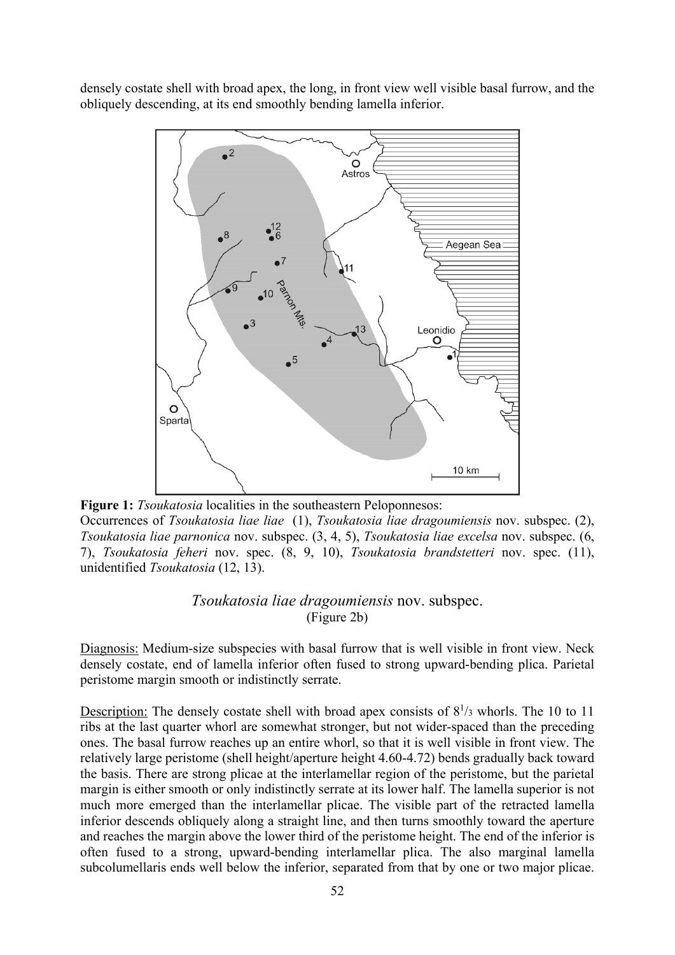densely costate shell with broad apex, the long, in front view well visible basal furrow, and the obliquely descending, at its end smoothly bending lamella inferior.



Figure 1: *Tsoukatosia* localities in the southeastern Peloponnesos: Occurrences of Tsoukatosia liae liae (1), Tsoukatosia liae dragoumiensis nov. subspec. (2), Tsoukatosia liae parnonica nov. subspec. (3, 4, 5), Tsoukatosia liae excelsa nov. subspec. (6, 7), Tsoukatosia feheri nov. spec. (8, 9, 10), Tsoukatosia brandstetteri nov. spec. (11), unidentified Tsoukatosia (12, 13).

## Tsoukatosia liae dragoumiensis nov. subspec. (Figure 2b)

Diagnosis: Medium-size subspecies with basal furrow that is well visible in front view. Neck densely costate, end of lamella inferior often fused to strong upward-bending plica. Parietal peristome margin smooth or indistinctly serrate.

Description: The densely costate shell with broad apex consists of  $8^{1/3}$  whorls. The 10 to 11 ribs at the last quarter whorl are somewhat stronger, but not wider-spaced than the preceding ones. The basal furrow reaches up an entire whorl, so that it is well visible in front view. The relatively large peristome (shell height/aperture height 4.60-4.72) bends gradually back toward the basis. There are strong plicae at the interlamellar region of the peristome, but the parietal margin is either smooth or only indistinctly serrate at its lower half. The lamella superior is not much more emerged than the interlamellar plicae. The visible part of the retracted lamella inferior descends obliquely along a straight line, and then turns smoothly toward the aperture and reaches the margin above the lower third of the peristome height. The end of the inferior is often fused to a strong, upward-bending interlamellar plica. The also marginal lamella subcolumellaris ends well below the inferior, separated from that by one or two major plicae.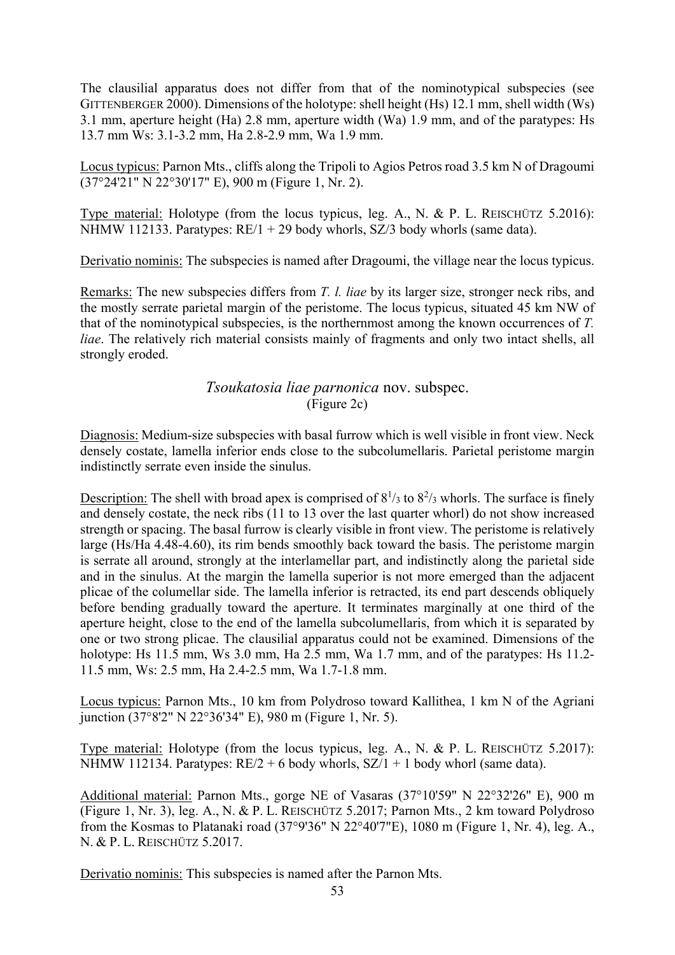The clausilial apparatus does not differ from that of the nominotypical subspecies (see GITTENBERGER 2000). Dimensions of the holotype: shell height (Hs) 12.1 mm, shell width (Ws) 3.1 mm, aperture height (Ha) 2.8 mm, aperture width (Wa) 1.9 mm, and of the paratypes: Hs 13.7 mm Ws: 3.1-3.2 mm, Ha 2.8-2.9 mm, Wa 1.9 mm.

Locus typicus: Parnon Mts., cliffs along the Tripoli to Agios Petros road 3.5 km N of Dragoumi  $(37^{\circ}24'21'' \text{ N } 22^{\circ}30'17'' \text{ E})$ , 900 m (Figure 1, Nr. 2).

Type material: Holotype (from the locus typicus, leg. A., N. & P. L. REISCHÜTZ 5.2016): NHMW 112133. Paratypes:  $RE/1 + 29$  body whorls,  $SZ/3$  body whorls (same data).

Derivatio nominis: The subspecies is named after Dragoumi, the village near the locus typicus.

Remarks: The new subspecies differs from T. l. liae by its larger size, stronger neck ribs, and the mostly serrate parietal margin of the peristome. The locus typicus, situated 45 km NW of that of the nominotypical subspecies, is the northernmost among the known occurrences of  $T$ . liae. The relatively rich material consists mainly of fragments and only two intact shells, all strongly eroded.

## Tsoukatosia liae parnonica nov. subspec.  $(Figure 2c)$

Diagnosis: Medium-size subspecies with basal furrow which is well visible in front view. Neck densely costate, lamella inferior ends close to the subcolumellaris. Parietal peristome margin indistinctly serrate even inside the sinulus.

Description: The shell with broad apex is comprised of  $8^{1/3}$  to  $8^{2/3}$  whorls. The surface is finely and densely costate, the neck ribs (11 to 13 over the last quarter whorl) do not show increased strength or spacing. The basal furrow is clearly visible in front view. The peristome is relatively large (Hs/Ha 4.48-4.60), its rim bends smoothly back toward the basis. The peristome margin is serrate all around, strongly at the interlamellar part, and indistinctly along the parietal side and in the sinulus. At the margin the lamella superior is not more emerged than the adjacent plicae of the columellar side. The lamella inferior is retracted, its end part descends obliquely before bending gradually toward the aperture. It terminates marginally at one third of the aperture height, close to the end of the lamella subcolumellaris, from which it is separated by one or two strong plicae. The clausilial apparatus could not be examined. Dimensions of the holotype: Hs  $11.5$  mm, Ws  $3.0$  mm, Ha  $2.5$  mm, Wa  $1.7$  mm, and of the paratypes: Hs  $11.2$ -11.5 mm, Ws: 2.5 mm, Ha 2.4-2.5 mm, Wa 1.7-1.8 mm.

Locus typicus: Parnon Mts., 10 km from Polydroso toward Kallithea, 1 km N of the Agriani junction (37°8'2" N 22°36'34" E), 980 m (Figure 1, Nr. 5).

Type material: Holotype (from the locus typicus, leg. A., N. & P. L. REISCHÜTZ  $5.2017$ ): NHMW 112134. Paratypes:  $RE/2 + 6$  body whorls,  $SZ/1 + 1$  body whorl (same data).

Additional material: Parnon Mts., gorge NE of Vasaras (37°10'59" N 22°32'26" E), 900 m (Figure 1, Nr. 3), leg. A., N. & P. L. REISCHÜTZ 5.2017; Parnon Mts., 2 km toward Polydroso from the Kosmas to Platanaki road (37°9'36" N 22°40'7"E), 1080 m (Figure 1, Nr. 4), leg. A., N. & P. L. REISCHÜTZ 5.2017.

Derivatio nominis: This subspecies is named after the Parnon Mts.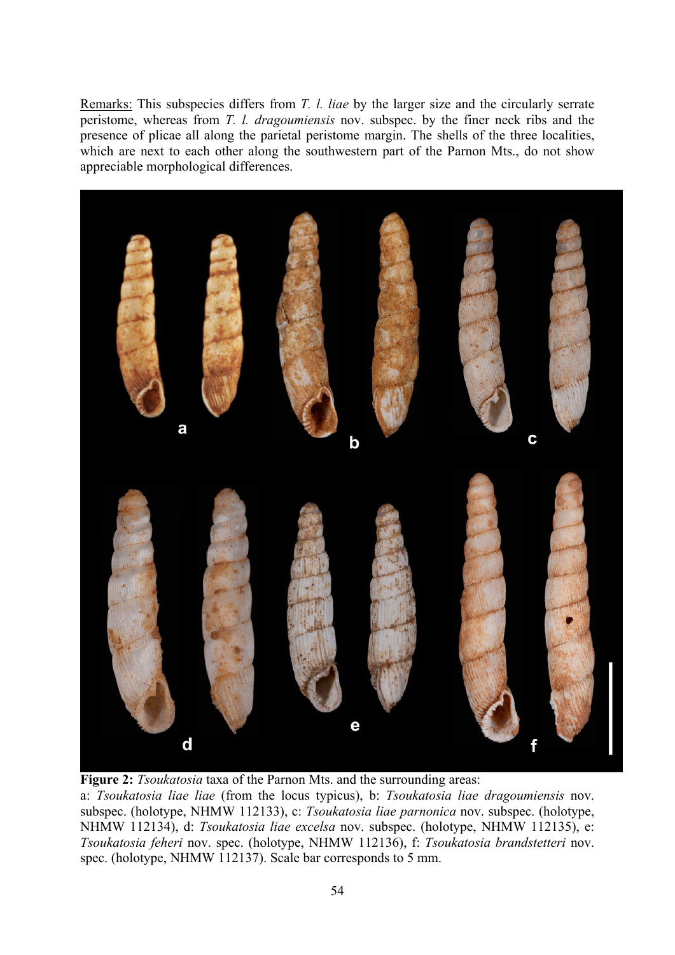Remarks: This subspecies differs from T. l. liae by the larger size and the circularly serrate peristome, whereas from T. l. dragoumiensis nov. subspec. by the finer neck ribs and the presence of plicae all along the parietal peristome margin. The shells of the three localities, which are next to each other along the southwestern part of the Parnon Mts., do not show appreciable morphological differences.



Figure 2: *Tsoukatosia* taxa of the Parnon Mts. and the surrounding areas:

a: Tsoukatosia liae liae (from the locus typicus), b: Tsoukatosia liae dragoumiensis nov. subspec. (holotype, NHMW 112133), c: Tsoukatosia liae parnonica nov. subspec. (holotype, NHMW 112134), d: Tsoukatosia liae excelsa nov. subspec. (holotype, NHMW 112135), e: Tsoukatosia feheri nov. spec. (holotype, NHMW 112136), f: Tsoukatosia brandstetteri nov. spec. (holotype, NHMW 112137). Scale bar corresponds to 5 mm.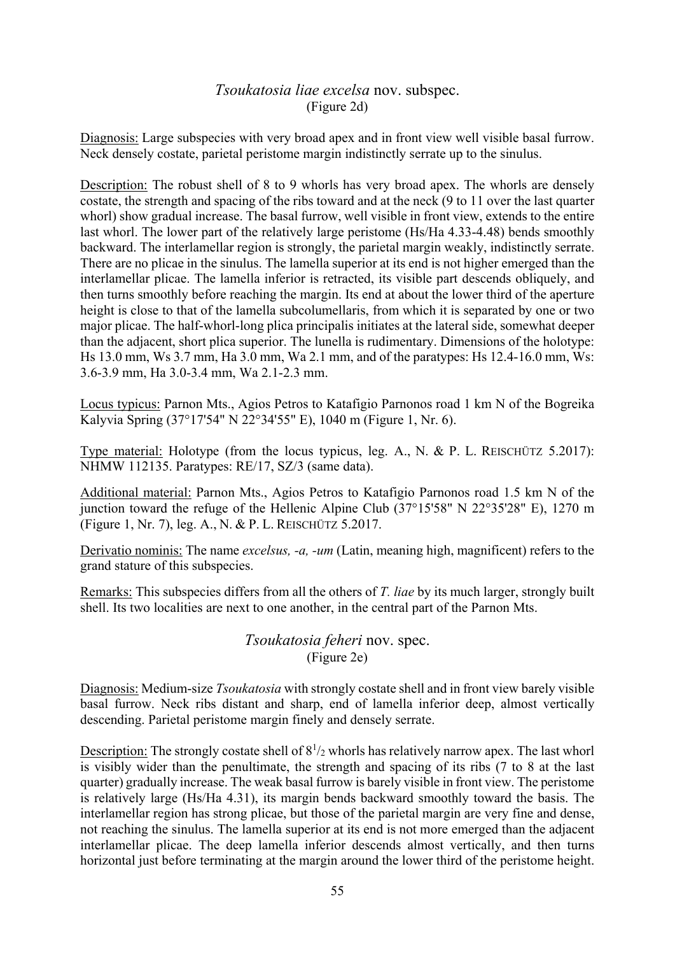## *Tsoukatosia liae excelsa* nov. subspec. (Figure 2d)

Diagnosis: Large subspecies with very broad apex and in front view well visible basal furrow. Neck densely costate, particle peristome margin indistinctly serrate up to the sinulus.

Description: The robust shell of 8 to 9 whorls has very broad apex. The whorls are densely costate, the strength and spacing of the ribs toward and at the neck (9 to 11 over the last quarter whorl) show gradual increase. The basal furrow, well visible in front view, extends to the entire last whorl. The lower part of the relatively large peristome (Hs/Ha 4.33-4.48) bends smoothly backward. The interlamellar region is strongly, the parietal margin weakly, indistinctly serrate. There are no plicae in the sinulus. The lamella superior at its end is not higher emerged than the interlamellar plicae. The lamella inferior is retracted, its visible part descends obliquely, and then turns smoothly before reaching the margin. Its end at about the lower third of the aperture height is close to that of the lamella subcolumellaris, from which it is separated by one or two major plicae. The half-whorl-long plica principalis initiates at the lateral side, somewhat deeper than the adjacent, short plica superior. The lunella is rudimentary. Dimensions of the holotype: Hs 13.0 mm, Ws 3.7 mm, Ha 3.0 mm, Wa 2.1 mm, and of the paratypes: Hs 12.4-16.0 mm, Ws: 3.6-3.9 mm, Ha 3.0-3.4 mm, Wa 2.1-2.3 mm.

Locus typicus: Parnon Mts., Agios Petros to Katafigio Parnonos road 1 km N of the Bogreika Kalyvia Spring (37°17'54" N 22°34'55" E), 1040 m (Figure 1, Nr. 6).

Type material: Holotype (from the locus typicus, leg. A., N. & P. L. REISCHÜTZ 5.2017): NHMW 112135. Paratypes: RE/17, SZ/3 (same data).

Additional material: Parnon Mts., Agios Petros to Katafigio Parnonos road 1.5 km N of the iunction toward the refuge of the Hellenic Alpine Club  $(37^{\circ}15'58''$  N  $22^{\circ}35'28''$  E), 1270 m (Figure 1, Nr. 7), leg. A., N. & P. L. REISCHÜTZ 5.2017.

Derivatio nominis: The name excelsus, -a, -um (Latin, meaning high, magnificent) refers to the grand stature of this subspecies.

Remarks: This subspecies differs from all the others of T. liae by its much larger, strongly built shell. Its two localities are next to one another, in the central part of the Parnon Mts.

> Tsoukatosia feheri nov. spec. (Figure 2e)

Diagnosis: Medium-size *Tsoukatosia* with strongly costate shell and in front view barely visible basal furrow. Neck ribs distant and sharp, end of lamella inferior deep, almost vertically descending. Parietal peristome margin finely and densely serrate.

Description: The strongly costate shell of  $8^{1/2}$  whorls has relatively narrow apex. The last whorl is visibly wider than the penultimate, the strength and spacing of its ribs  $(7 \text{ to } 8 \text{ at the last})$ quarter) gradually increase. The weak basal furrow is barely visible in front view. The peristome is relatively large (Hs/Ha 4.31), its margin bends backward smoothly toward the basis. The interlamellar region has strong plicae, but those of the parietal margin are very fine and dense, not reaching the sinulus. The lamella superior at its end is not more emerged than the adjacent interlamellar plicae. The deep lamella inferior descends almost vertically, and then turns horizontal just before terminating at the margin around the lower third of the peristome height.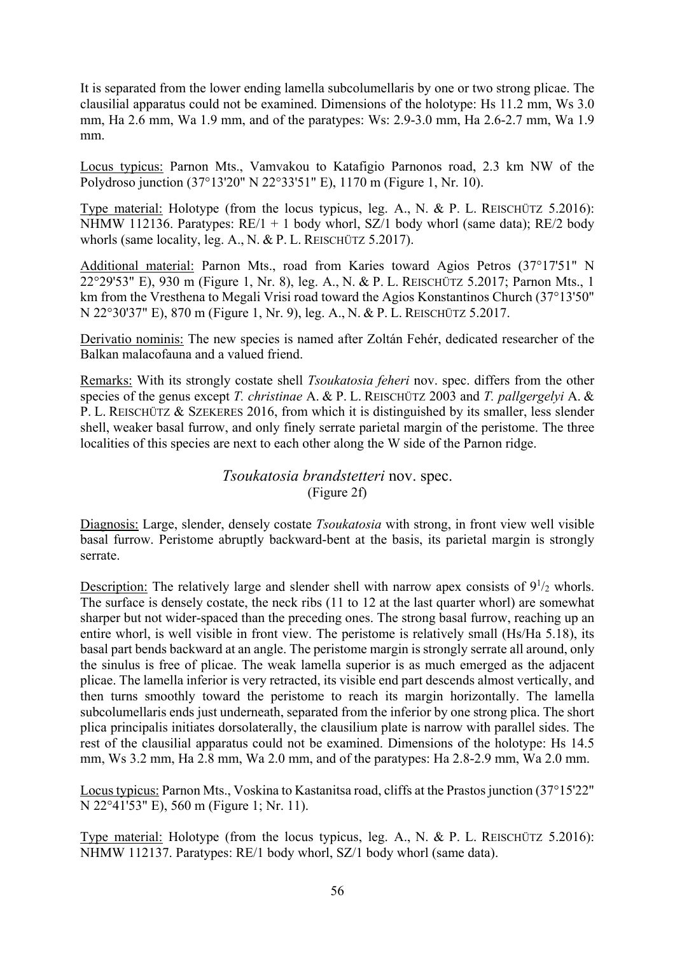It is separated from the lower ending lamella subcolumellaris by one or two strong plicae. The clausilial apparatus could not be examined. Dimensions of the holotype: Hs 11.2 mm, Ws 3.0 mm, Ha 2.6 mm, Wa 1.9 mm, and of the paratypes: Ws: 2.9-3.0 mm, Ha 2.6-2.7 mm, Wa 1.9  $mm$ 

Locus typicus: Parnon Mts., Vamvakou to Katafigio Parnonos road, 2.3 km NW of the Polydroso junction (37°13'20" N 22°33'51" E), 1170 m (Figure 1, Nr. 10).

Type material: Holotype (from the locus typicus, leg. A., N. & P. L. REISCHÜTZ 5.2016): NHMW 112136. Paratypes:  $RE/1 + 1$  body whorl, SZ/1 body whorl (same data);  $RE/2$  body whorls (same locality, leg. A., N. & P. L. REISCHÜTZ 5.2017).

Additional material: Parnon Mts., road from Karies toward Agios Petros (37°17'51" N 22°29'53" E), 930 m (Figure 1, Nr. 8), leg. A., N. & P. L. REISCHÜTZ 5.2017; Parnon Mts., 1 km from the Vresthena to Megali Vrisi road toward the Agios Konstantinos Church (37°13'50" N 22°30'37" E), 870 m (Figure 1, Nr. 9), leg. A., N. & P. L. REISCHÜTZ 5.2017.

Derivatio nominis: The new species is named after Zoltán Fehér, dedicated researcher of the Balkan malacofauna and a valued friend.

Remarks: With its strongly costate shell *Tsoukatosia feheri* nov. spec. differs from the other species of the genus except T. christinae A. & P. L. REISCHÜTZ 2003 and T. pallgergelyi A. & P. L. REISCHÜTZ & SZEKERES 2016, from which it is distinguished by its smaller, less slender shell, weaker basal furrow, and only finely serrate parietal margin of the peristome. The three localities of this species are next to each other along the W side of the Parnon ridge.

> Tsoukatosia brandstetteri nov. spec. (Figure 2f)

Diagnosis: Large, slender, densely costate *Tsoukatosia* with strong, in front view well visible basal furrow. Peristome abruptly backward-bent at the basis, its parietal margin is strongly serrate

Description: The relatively large and slender shell with narrow apex consists of  $9^{1}/_{2}$  whorls. The surface is densely costate, the neck ribs (11 to 12 at the last quarter whorl) are somewhat sharper but not wider-spaced than the preceding ones. The strong basal furrow, reaching up an entire whorl, is well visible in front view. The peristome is relatively small (Hs/Ha 5.18), its basal part bends backward at an angle. The peristome margin is strongly serrate all around, only the sinulus is free of plicae. The weak lamella superior is as much emerged as the adjacent plicae. The lamella inferior is very retracted, its visible end part descends almost vertically, and then turns smoothly toward the peristome to reach its margin horizontally. The lamella subcolumellaris ends just underneath, separated from the inferior by one strong plica. The short plica principalis initiates dorsolaterally, the clausilium plate is narrow with parallel sides. The rest of the clausilial apparatus could not be examined. Dimensions of the holotype: Hs 14.5 mm, Ws 3.2 mm, Ha 2.8 mm, Wa 2.0 mm, and of the paratypes: Ha 2.8-2.9 mm, Wa 2.0 mm.

Locus typicus: Parnon Mts., Voskina to Kastanitsa road, cliffs at the Prastos junction (37°15'22" N 22°41'53" E), 560 m (Figure 1; Nr. 11).

Type material: Holotype (from the locus typicus, leg. A., N. & P. L. REISCHÜTZ 5.2016): NHMW 112137. Paratypes: RE/1 body whorl, SZ/1 body whorl (same data).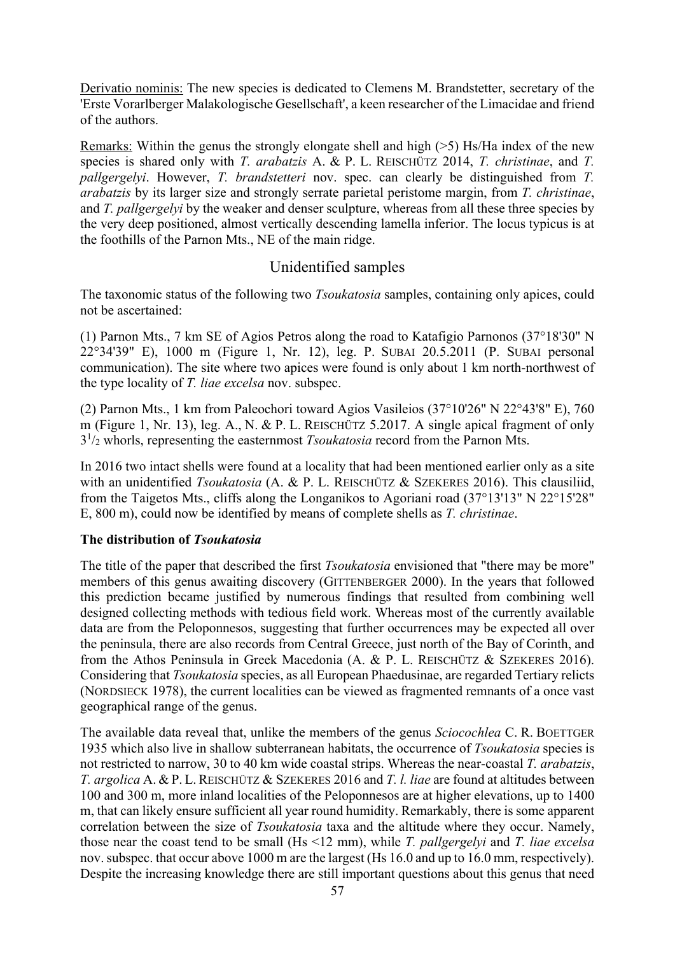Derivatio nominis: The new species is dedicated to Clemens M. Brandstetter, secretary of the 'Erste Vorarlberger Malakologische Gesellschaft', a keen researcher of the Limacidae and friend of the authors.

Remarks: Within the genus the strongly elongate shell and high  $(5)$  Hs/Ha index of the new species is shared only with T. arabatzis A. & P. L. REISCHÜTZ 2014, T. christinae, and T. *pallgergelyi.* However, *T. brandstetteri* nov. spec. can clearly be distinguished from *T. arabatzis* by its larger size and strongly serrate parietal peristome margin, from *T. christinae*, and T. pallgergelyi by the weaker and denser sculpture, whereas from all these three species by the very deep positioned, almost vertically descending lamella inferior. The locus typicus is at the foothills of the Parnon Mts., NE of the main ridge.

# Unidentified samples

The taxonomic status of the following two Tsoukatosia samples, containing only apices, could not be ascertained:

(1) Parnon Mts., 7 km SE of Agios Petros along the road to Katafigio Parnonos  $(37^{\circ}18'30''$  N 22°34'39" E), 1000 m (Figure 1, Nr. 12), leg. P. SUBAI 20.5.2011 (P. SUBAI personal communication). The site where two apices were found is only about 1 km north-northwest of the type locality of T. liae excelsa nov. subspec.

(2) Parnon Mts., 1 km from Paleochori toward Agios Vasileios (37°10'26" N 22°43'8" E), 760 m (Figure 1, Nr. 13), leg. A., N. & P. L. REISCHÜTZ 5.2017. A single apical fragment of only  $3^{1/2}$  whorls, representing the easternmost *Tsoukatosia* record from the Parnon Mts.

In 2016 two intact shells were found at a locality that had been mentioned earlier only as a site with an unidentified *Tsoukatosia* (A. & P. L. REISCHÜTZ & SZEKERES 2016). This clausiliid, from the Taigetos Mts., cliffs along the Longanikos to Agoriani road (37°13'13" N 22°15'28" E, 800 m), could now be identified by means of complete shells as T. christinae.

### The distribution of Tsoukatosia

The title of the paper that described the first *Tsoukatosia* envisioned that "there may be more" members of this genus awaiting discovery (GITTENBERGER 2000). In the years that followed this prediction became justified by numerous findings that resulted from combining well designed collecting methods with tedious field work. Whereas most of the currently available data are from the Peloponnesos, suggesting that further occurrences may be expected all over the peninsula, there are also records from Central Greece, just north of the Bay of Corinth, and from the Athos Peninsula in Greek Macedonia (A. & P. L. REISCHÜTZ & SZEKERES 2016). Considering that *Tsoukatosia* species, as all European Phaedusinae, are regarded Tertiary relicts (NORDSIECK 1978), the current localities can be viewed as fragmented remnants of a once vast geographical range of the genus.

The available data reveal that, unlike the members of the genus Sciocochlea C. R. BOETTGER 1935 which also live in shallow subterranean habitats, the occurrence of *Tsoukatosia* species is not restricted to narrow, 30 to 40 km wide coastal strips. Whereas the near-coastal T. arabatzis, T. argolica A. & P. L. REISCHÜTZ & SZEKERES 2016 and T. l. liae are found at altitudes between 100 and 300 m, more inland localities of the Peloponnesos are at higher elevations, up to 1400 m, that can likely ensure sufficient all year round humidity. Remarkably, there is some apparent correlation between the size of *Tsoukatosia* taxa and the altitude where they occur. Namely, those near the coast tend to be small (Hs  $\leq$ 12 mm), while *T. pallgergelyi* and *T. liae excelsa* nov. subspec. that occur above 1000 m are the largest (Hs 16.0 and up to 16.0 mm, respectively). Despite the increasing knowledge there are still important questions about this genus that need